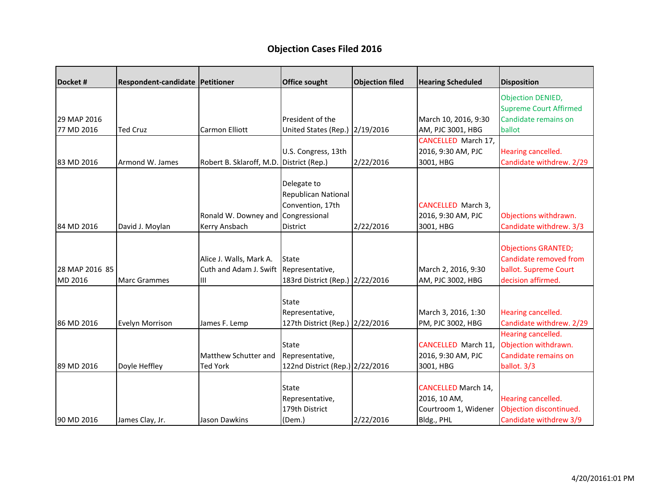## **Objection Cases Filed 2016**

|                     |                          | <b>Office sought</b>                                                        |                                                                                                                                                                                         |                                                                                                                                                                                | <b>Disposition</b>                                                                                                                                         |
|---------------------|--------------------------|-----------------------------------------------------------------------------|-----------------------------------------------------------------------------------------------------------------------------------------------------------------------------------------|--------------------------------------------------------------------------------------------------------------------------------------------------------------------------------|------------------------------------------------------------------------------------------------------------------------------------------------------------|
|                     |                          |                                                                             |                                                                                                                                                                                         |                                                                                                                                                                                | <b>Objection DENIED,</b><br><b>Supreme Court Affirmed</b>                                                                                                  |
|                     |                          | President of the                                                            |                                                                                                                                                                                         | March 10, 2016, 9:30                                                                                                                                                           | Candidate remains on                                                                                                                                       |
| <b>Ted Cruz</b>     | Carmon Elliott           |                                                                             |                                                                                                                                                                                         | AM, PJC 3001, HBG                                                                                                                                                              | ballot                                                                                                                                                     |
|                     |                          |                                                                             |                                                                                                                                                                                         | <b>CANCELLED March 17,</b>                                                                                                                                                     |                                                                                                                                                            |
|                     |                          | U.S. Congress, 13th                                                         |                                                                                                                                                                                         | 2016, 9:30 AM, PJC                                                                                                                                                             | Hearing cancelled.                                                                                                                                         |
| Armond W. James     | Robert B. Sklaroff, M.D. | District (Rep.)                                                             | 2/22/2016                                                                                                                                                                               | 3001, HBG                                                                                                                                                                      | Candidate withdrew. 2/29                                                                                                                                   |
|                     |                          | Delegate to                                                                 |                                                                                                                                                                                         |                                                                                                                                                                                |                                                                                                                                                            |
|                     |                          |                                                                             |                                                                                                                                                                                         |                                                                                                                                                                                |                                                                                                                                                            |
|                     |                          | Convention, 17th                                                            |                                                                                                                                                                                         | CANCELLED March 3,                                                                                                                                                             |                                                                                                                                                            |
|                     |                          |                                                                             |                                                                                                                                                                                         | 2016, 9:30 AM, PJC                                                                                                                                                             | Objections withdrawn.                                                                                                                                      |
| David J. Moylan     | Kerry Ansbach            | District                                                                    | 2/22/2016                                                                                                                                                                               | 3001, HBG                                                                                                                                                                      | Candidate withdrew. 3/3                                                                                                                                    |
|                     |                          |                                                                             |                                                                                                                                                                                         |                                                                                                                                                                                | <b>Objections GRANTED;</b>                                                                                                                                 |
|                     |                          |                                                                             |                                                                                                                                                                                         |                                                                                                                                                                                | Candidate removed from                                                                                                                                     |
|                     | Cuth and Adam J. Swift   |                                                                             |                                                                                                                                                                                         |                                                                                                                                                                                | ballot. Supreme Court                                                                                                                                      |
| <b>Marc Grammes</b> | Ш                        |                                                                             |                                                                                                                                                                                         | AM, PJC 3002, HBG                                                                                                                                                              | decision affirmed.                                                                                                                                         |
|                     |                          |                                                                             |                                                                                                                                                                                         |                                                                                                                                                                                |                                                                                                                                                            |
|                     |                          |                                                                             |                                                                                                                                                                                         |                                                                                                                                                                                | Hearing cancelled.                                                                                                                                         |
| Evelyn Morrison     | James F. Lemp            |                                                                             |                                                                                                                                                                                         | PM, PJC 3002, HBG                                                                                                                                                              | Candidate withdrew. 2/29                                                                                                                                   |
|                     |                          |                                                                             |                                                                                                                                                                                         |                                                                                                                                                                                | Hearing cancelled.                                                                                                                                         |
|                     |                          | <b>State</b>                                                                |                                                                                                                                                                                         | CANCELLED March 11,                                                                                                                                                            | Objection withdrawn.                                                                                                                                       |
|                     | Matthew Schutter and     | Representative,                                                             |                                                                                                                                                                                         | 2016, 9:30 AM, PJC                                                                                                                                                             | Candidate remains on                                                                                                                                       |
| Doyle Heffley       | <b>Ted York</b>          |                                                                             |                                                                                                                                                                                         | 3001, HBG                                                                                                                                                                      | ballot. 3/3                                                                                                                                                |
|                     |                          |                                                                             |                                                                                                                                                                                         |                                                                                                                                                                                |                                                                                                                                                            |
|                     |                          |                                                                             |                                                                                                                                                                                         |                                                                                                                                                                                | Hearing cancelled.                                                                                                                                         |
|                     |                          |                                                                             |                                                                                                                                                                                         |                                                                                                                                                                                | Objection discontinued.                                                                                                                                    |
|                     |                          |                                                                             |                                                                                                                                                                                         |                                                                                                                                                                                | Candidate withdrew 3/9                                                                                                                                     |
|                     | James Clay, Jr.          | Respondent-candidate Petitioner<br>Alice J. Walls, Mark A.<br>Jason Dawkins | Republican National<br>Ronald W. Downey and Congressional<br>State<br>Representative,<br><b>State</b><br>Representative,<br><b>State</b><br>Representative,<br>179th District<br>(Dem.) | <b>Objection filed</b><br>United States (Rep.) 2/19/2016<br>183rd District (Rep.) 2/22/2016<br>127th District (Rep.) 2/22/2016<br>122nd District (Rep.) 2/22/2016<br>2/22/2016 | <b>Hearing Scheduled</b><br>March 2, 2016, 9:30<br>March 3, 2016, 1:30<br><b>CANCELLED March 14,</b><br>2016, 10 AM,<br>Courtroom 1, Widener<br>Bldg., PHL |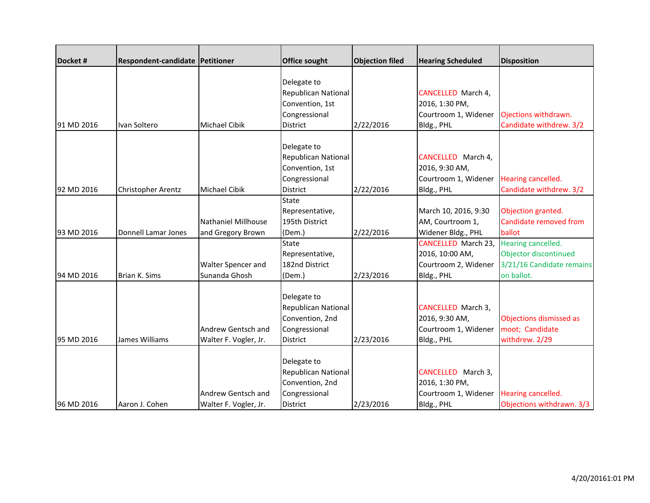| Docket#    | <b>Respondent-candidate Petitioner</b> |                                                 | Office sought                                                                             | <b>Objection filed</b> | <b>Hearing Scheduled</b>                                                            | <b>Disposition</b>                                                                     |
|------------|----------------------------------------|-------------------------------------------------|-------------------------------------------------------------------------------------------|------------------------|-------------------------------------------------------------------------------------|----------------------------------------------------------------------------------------|
| 91 MD 2016 | Ivan Soltero                           | <b>Michael Cibik</b>                            | Delegate to<br>Republican National<br>Convention, 1st<br>Congressional<br>District        | 2/22/2016              | CANCELLED March 4,<br>2016, 1:30 PM,<br>Courtroom 1, Widener<br>Bldg., PHL          | Ojections withdrawn.<br>Candidate withdrew. 3/2                                        |
| 92 MD 2016 | Christopher Arentz                     | <b>Michael Cibik</b>                            | Delegate to<br>Republican National<br>Convention, 1st<br>Congressional<br><b>District</b> | 2/22/2016              | CANCELLED March 4,<br>2016, 9:30 AM,<br>Courtroom 1, Widener<br>Bldg., PHL          | Hearing cancelled.<br>Candidate withdrew. 3/2                                          |
| 93 MD 2016 | Donnell Lamar Jones                    | <b>Nathaniel Millhouse</b><br>and Gregory Brown | State<br>Representative,<br>195th District<br>(Dem.)                                      | 2/22/2016              | March 10, 2016, 9:30<br>AM, Courtroom 1,<br>Widener Bldg., PHL                      | Objection granted.<br>Candidate removed from<br>ballot                                 |
| 94 MD 2016 | Brian K. Sims                          | Walter Spencer and<br>Sunanda Ghosh             | <b>State</b><br>Representative,<br>182nd District<br>(Dem.)                               | 2/23/2016              | <b>CANCELLED March 23,</b><br>2016, 10:00 AM,<br>Courtroom 2, Widener<br>Bldg., PHL | Hearing cancelled.<br>Objector discontinued<br>3/21/16 Candidate remains<br>on ballot. |
| 95 MD 2016 | James Williams                         | Andrew Gentsch and<br>Walter F. Vogler, Jr.     | Delegate to<br>Republican National<br>Convention, 2nd<br>Congressional<br>District        | 2/23/2016              | <b>CANCELLED</b> March 3,<br>2016, 9:30 AM,<br>Courtroom 1, Widener<br>Bldg., PHL   | Objections dismissed as<br>moot; Candidate<br>withdrew. 2/29                           |
| 96 MD 2016 | Aaron J. Cohen                         | Andrew Gentsch and<br>Walter F. Vogler, Jr.     | Delegate to<br>Republican National<br>Convention, 2nd<br>Congressional<br>District        | 2/23/2016              | CANCELLED March 3,<br>2016, 1:30 PM,<br>Courtroom 1, Widener<br>Bldg., PHL          | Hearing cancelled.<br>Objections withdrawn. 3/3                                        |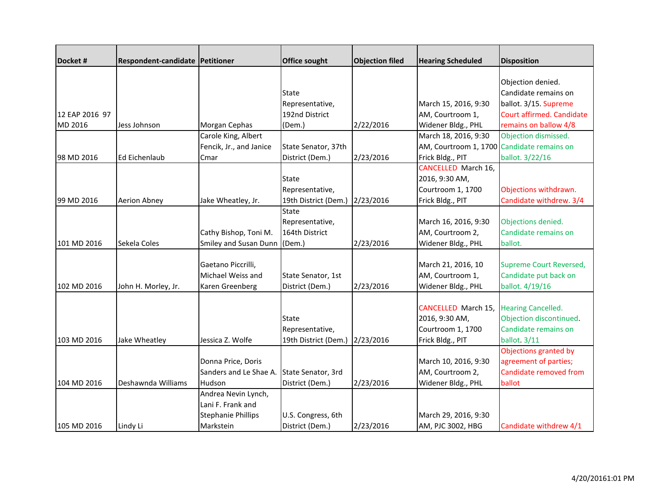| Docket#        | Respondent-candidate Petitioner |                           | <b>Office sought</b> | <b>Objection filed</b> | <b>Hearing Scheduled</b>                   | <b>Disposition</b>        |
|----------------|---------------------------------|---------------------------|----------------------|------------------------|--------------------------------------------|---------------------------|
|                |                                 |                           |                      |                        |                                            |                           |
|                |                                 |                           |                      |                        |                                            | Objection denied.         |
|                |                                 |                           | <b>State</b>         |                        |                                            | Candidate remains on      |
|                |                                 |                           | Representative,      |                        | March 15, 2016, 9:30                       | ballot. 3/15. Supreme     |
| 12 EAP 2016 97 |                                 |                           | 192nd District       |                        | AM, Courtroom 1,                           | Court affirmed. Candidate |
| MD 2016        | Jess Johnson                    | Morgan Cephas             | (Dem.)               | 2/22/2016              | Widener Bldg., PHL                         | remains on ballow 4/8     |
|                |                                 | Carole King, Albert       |                      |                        | March 18, 2016, 9:30                       | Objection dismissed.      |
|                |                                 | Fencik, Jr., and Janice   | State Senator, 37th  |                        | AM, Courtroom 1, 1700 Candidate remains on |                           |
| 98 MD 2016     | Ed Eichenlaub                   | Cmar                      | District (Dem.)      | 2/23/2016              | Frick Bldg., PIT                           | ballot. 3/22/16           |
|                |                                 |                           |                      |                        | <b>CANCELLED</b> March 16,                 |                           |
|                |                                 |                           | <b>State</b>         |                        | 2016, 9:30 AM,                             |                           |
|                |                                 |                           | Representative,      |                        | Courtroom 1, 1700                          | Objections withdrawn.     |
| 99 MD 2016     | Aerion Abney                    | Jake Wheatley, Jr.        | 19th District (Dem.) | 2/23/2016              | Frick Bldg., PIT                           | Candidate withdrew. 3/4   |
|                |                                 |                           | <b>State</b>         |                        |                                            |                           |
|                |                                 |                           | Representative,      |                        | March 16, 2016, 9:30                       | Objections denied.        |
|                |                                 | Cathy Bishop, Toni M.     | 164th District       |                        | AM, Courtroom 2,                           | Candidate remains on      |
| 101 MD 2016    | Sekela Coles                    | Smiley and Susan Dunn     | (Dem.)               | 2/23/2016              | Widener Bldg., PHL                         | ballot.                   |
|                |                                 |                           |                      |                        |                                            |                           |
|                |                                 | Gaetano Piccrilli,        |                      |                        | March 21, 2016, 10                         | Supreme Court Reversed,   |
|                |                                 | Michael Weiss and         | State Senator, 1st   |                        | AM, Courtroom 1,                           | Candidate put back on     |
| 102 MD 2016    | John H. Morley, Jr.             | Karen Greenberg           | District (Dem.)      | 2/23/2016              | Widener Bldg., PHL                         | ballot. 4/19/16           |
|                |                                 |                           |                      |                        |                                            |                           |
|                |                                 |                           |                      |                        | <b>CANCELLED March 15,</b>                 | <b>Hearing Cancelled.</b> |
|                |                                 |                           | <b>State</b>         |                        | 2016, 9:30 AM,                             | Objection discontinued.   |
|                |                                 |                           | Representative,      |                        | Courtroom 1, 1700                          | Candidate remains on      |
| 103 MD 2016    | Jake Wheatley                   | Jessica Z. Wolfe          | 19th District (Dem.) | 2/23/2016              | Frick Bldg., PIT                           | ballot. 3/11              |
|                |                                 |                           |                      |                        |                                            | Objections granted by     |
|                |                                 | Donna Price, Doris        |                      |                        | March 10, 2016, 9:30                       | agreement of parties;     |
|                |                                 | Sanders and Le Shae A.    | State Senator, 3rd   |                        | AM, Courtroom 2,                           | Candidate removed from    |
| 104 MD 2016    | Deshawnda Williams              | Hudson                    | District (Dem.)      | 2/23/2016              | Widener Bldg., PHL                         | ballot                    |
|                |                                 | Andrea Nevin Lynch,       |                      |                        |                                            |                           |
|                |                                 | Lani F. Frank and         |                      |                        |                                            |                           |
|                |                                 | <b>Stephanie Phillips</b> | U.S. Congress, 6th   |                        | March 29, 2016, 9:30                       |                           |
| 105 MD 2016    | Lindy Li                        | Markstein                 | District (Dem.)      | 2/23/2016              | AM, PJC 3002, HBG                          | Candidate withdrew 4/1    |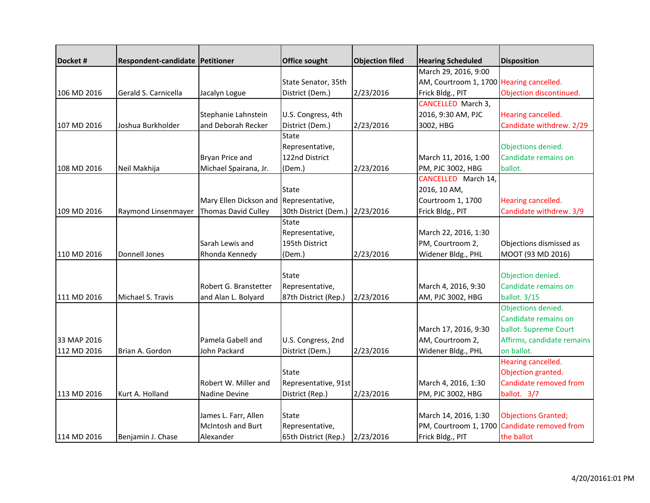| Docket#     | Respondent-candidate Petitioner |                                        | Office sought                  | <b>Objection filed</b> | <b>Hearing Scheduled</b>                 | <b>Disposition</b>         |
|-------------|---------------------------------|----------------------------------------|--------------------------------|------------------------|------------------------------------------|----------------------------|
|             |                                 |                                        |                                |                        | March 29, 2016, 9:00                     |                            |
|             |                                 |                                        | State Senator, 35th            |                        | AM, Courtroom 1, 1700 Hearing cancelled. |                            |
| 106 MD 2016 | Gerald S. Carnicella            | Jacalyn Logue                          | District (Dem.)                | 2/23/2016              | Frick Bldg., PIT                         | Objection discontinued.    |
|             |                                 |                                        |                                |                        | CANCELLED March 3,                       |                            |
|             |                                 | Stephanie Lahnstein                    | U.S. Congress, 4th             |                        | 2016, 9:30 AM, PJC                       | Hearing cancelled.         |
| 107 MD 2016 | Joshua Burkholder               | and Deborah Recker                     | District (Dem.)                | 2/23/2016              | 3002, HBG                                | Candidate withdrew. 2/29   |
|             |                                 |                                        | <b>State</b>                   |                        |                                          |                            |
|             |                                 |                                        | Representative,                |                        |                                          | Objections denied.         |
|             |                                 | Bryan Price and                        | 122nd District                 |                        | March 11, 2016, 1:00                     | Candidate remains on       |
| 108 MD 2016 | Neil Makhija                    | Michael Spairana, Jr.                  | (Dem.)                         | 2/23/2016              | PM, PJC 3002, HBG                        | ballot.                    |
|             |                                 |                                        |                                |                        | CANCELLED March 14,                      |                            |
|             |                                 |                                        | State                          |                        | 2016, 10 AM,                             |                            |
|             |                                 | Mary Ellen Dickson and Representative, |                                |                        | Courtroom 1, 1700                        | Hearing cancelled.         |
| 109 MD 2016 | Raymond Linsenmayer             | <b>Thomas David Culley</b>             | 30th District (Dem.) 2/23/2016 |                        | Frick Bldg., PIT                         | Candidate withdrew. 3/9    |
|             |                                 |                                        | State                          |                        |                                          |                            |
|             |                                 |                                        | Representative,                |                        | March 22, 2016, 1:30                     |                            |
|             |                                 | Sarah Lewis and                        | 195th District                 |                        | PM, Courtroom 2,                         | Objections dismissed as    |
| 110 MD 2016 | Donnell Jones                   | Rhonda Kennedy                         | (Dem.)                         | 2/23/2016              | Widener Bldg., PHL                       | MOOT (93 MD 2016)          |
|             |                                 |                                        |                                |                        |                                          |                            |
|             |                                 |                                        | State                          |                        |                                          | Objection denied.          |
|             |                                 | Robert G. Branstetter                  | Representative,                |                        | March 4, 2016, 9:30                      | Candidate remains on       |
| 111 MD 2016 | Michael S. Travis               | and Alan L. Bolyard                    | 87th District (Rep.)           | 2/23/2016              | AM, PJC 3002, HBG                        | ballot. 3/15               |
|             |                                 |                                        |                                |                        |                                          | Objections denied.         |
|             |                                 |                                        |                                |                        |                                          | Candidate remains on       |
|             |                                 |                                        |                                |                        | March 17, 2016, 9:30                     | ballot. Supreme Court      |
| 33 MAP 2016 |                                 | Pamela Gabell and                      | U.S. Congress, 2nd             |                        | AM, Courtroom 2,                         | Affirms, candidate remains |
| 112 MD 2016 | Brian A. Gordon                 | John Packard                           | District (Dem.)                | 2/23/2016              | Widener Bldg., PHL                       | on ballot.                 |
|             |                                 |                                        |                                |                        |                                          | Hearing cancelled.         |
|             |                                 |                                        | State                          |                        |                                          | Objection granted.         |
|             |                                 | Robert W. Miller and                   | Representative, 91st           |                        | March 4, 2016, 1:30                      | Candidate removed from     |
| 113 MD 2016 | Kurt A. Holland                 | Nadine Devine                          | District (Rep.)                | 2/23/2016              | PM, PJC 3002, HBG                        | ballot. 3/7                |
|             |                                 |                                        |                                |                        |                                          |                            |
|             |                                 | James L. Farr, Allen                   | State                          |                        | March 14, 2016, 1:30                     | <b>Objections Granted;</b> |
|             |                                 | McIntosh and Burt                      | Representative,                |                        | PM, Courtroom 1, 1700                    | Candidate removed from     |
| 114 MD 2016 | Benjamin J. Chase               | Alexander                              | 65th District (Rep.)           | 2/23/2016              | Frick Bldg., PIT                         | the ballot                 |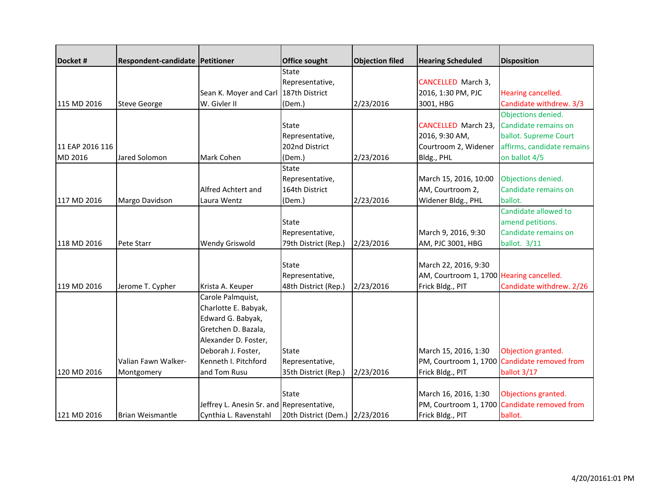| Docket#         | Respondent-candidate Petitioner |                                           | Office sought        | <b>Objection filed</b> | <b>Hearing Scheduled</b>                 | <b>Disposition</b>         |
|-----------------|---------------------------------|-------------------------------------------|----------------------|------------------------|------------------------------------------|----------------------------|
|                 |                                 |                                           | <b>State</b>         |                        |                                          |                            |
|                 |                                 |                                           | Representative,      |                        | CANCELLED March 3,                       |                            |
|                 |                                 | Sean K. Moyer and Carl 187th District     |                      |                        | 2016, 1:30 PM, PJC                       | Hearing cancelled.         |
| 115 MD 2016     | <b>Steve George</b>             | W. Givler II                              | (Dem.)               | 2/23/2016              | 3001, HBG                                | Candidate withdrew. 3/3    |
|                 |                                 |                                           |                      |                        |                                          | Objections denied.         |
|                 |                                 |                                           | <b>State</b>         |                        | <b>CANCELLED March 23,</b>               | Candidate remains on       |
|                 |                                 |                                           | Representative,      |                        | 2016, 9:30 AM,                           | ballot. Supreme Court      |
| 11 EAP 2016 116 |                                 |                                           | 202nd District       |                        | Courtroom 2, Widener                     | affirms, candidate remains |
| MD 2016         | Jared Solomon                   | Mark Cohen                                | (Dem.)               | 2/23/2016              | Bldg., PHL                               | on ballot 4/5              |
|                 |                                 |                                           | State                |                        |                                          |                            |
|                 |                                 |                                           | Representative,      |                        | March 15, 2016, 10:00                    | Objections denied.         |
|                 |                                 | Alfred Achtert and                        | 164th District       |                        | AM, Courtroom 2,                         | Candidate remains on       |
| 117 MD 2016     | Margo Davidson                  | Laura Wentz                               | (Dem.)               | 2/23/2016              | Widener Bldg., PHL                       | ballot.                    |
|                 |                                 |                                           |                      |                        |                                          | Candidate allowed to       |
|                 |                                 |                                           | State                |                        |                                          | amend petitions.           |
|                 |                                 |                                           | Representative,      |                        | March 9, 2016, 9:30                      | Candidate remains on       |
| 118 MD 2016     | Pete Starr                      | <b>Wendy Griswold</b>                     | 79th District (Rep.) | 2/23/2016              | AM, PJC 3001, HBG                        | ballot. 3/11               |
|                 |                                 |                                           |                      |                        |                                          |                            |
|                 |                                 |                                           | <b>State</b>         |                        | March 22, 2016, 9:30                     |                            |
|                 |                                 |                                           | Representative,      |                        | AM, Courtroom 1, 1700 Hearing cancelled. |                            |
| 119 MD 2016     | Jerome T. Cypher                | Krista A. Keuper                          | 48th District (Rep.) | 2/23/2016              | Frick Bldg., PIT                         | Candidate withdrew. 2/26   |
|                 |                                 | Carole Palmquist,                         |                      |                        |                                          |                            |
|                 |                                 | Charlotte E. Babyak,                      |                      |                        |                                          |                            |
|                 |                                 | Edward G. Babyak,                         |                      |                        |                                          |                            |
|                 |                                 | Gretchen D. Bazala,                       |                      |                        |                                          |                            |
|                 |                                 | Alexander D. Foster,                      |                      |                        |                                          |                            |
|                 |                                 | Deborah J. Foster,                        | <b>State</b>         |                        | March 15, 2016, 1:30                     | Objection granted.         |
|                 | Valian Fawn Walker-             | Kenneth I. Pitchford                      | Representative,      |                        | PM, Courtroom 1, 1700                    | Candidate removed from     |
| 120 MD 2016     | Montgomery                      | and Tom Rusu                              | 35th District (Rep.) | 2/23/2016              | Frick Bldg., PIT                         | ballot 3/17                |
|                 |                                 |                                           |                      |                        |                                          |                            |
|                 |                                 |                                           | <b>State</b>         |                        | March 16, 2016, 1:30                     | Objections granted.        |
|                 |                                 | Jeffrey L. Anesin Sr. and Representative, |                      |                        | PM, Courtroom 1, 1700                    | Candidate removed from     |
| 121 MD 2016     | Brian Weismantle                | Cynthia L. Ravenstahl                     | 20th District (Dem.) | 2/23/2016              | Frick Bldg., PIT                         | ballot.                    |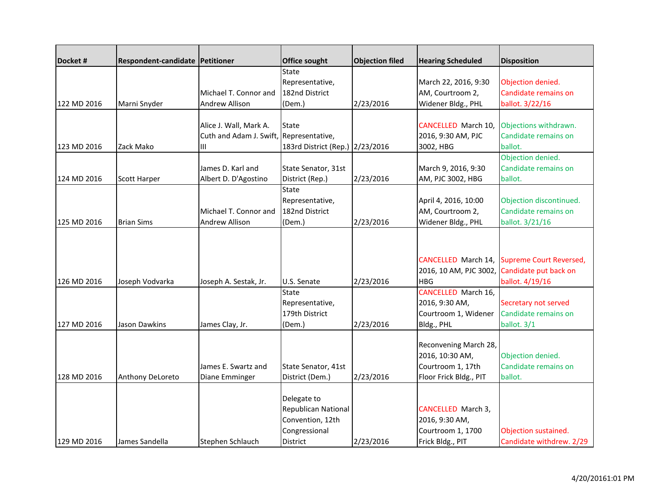| Docket#     | Respondent-candidate Petitioner |                                         | <b>Office sought</b>            | <b>Objection filed</b> | <b>Hearing Scheduled</b> | <b>Disposition</b>             |
|-------------|---------------------------------|-----------------------------------------|---------------------------------|------------------------|--------------------------|--------------------------------|
|             |                                 |                                         | <b>State</b>                    |                        |                          |                                |
|             |                                 |                                         | Representative,                 |                        | March 22, 2016, 9:30     | Objection denied.              |
|             |                                 | Michael T. Connor and                   | 182nd District                  |                        | AM, Courtroom 2,         | Candidate remains on           |
| 122 MD 2016 | Marni Snyder                    | <b>Andrew Allison</b>                   | (Dem.)                          | 2/23/2016              | Widener Bldg., PHL       | ballot. 3/22/16                |
|             |                                 |                                         |                                 |                        |                          |                                |
|             |                                 | Alice J. Wall, Mark A.                  | State                           |                        | CANCELLED March 10,      | Objections withdrawn.          |
|             |                                 | Cuth and Adam J. Swift, Representative, |                                 |                        | 2016, 9:30 AM, PJC       | Candidate remains on           |
| 123 MD 2016 | Zack Mako                       | Ш                                       | 183rd District (Rep.) 2/23/2016 |                        | 3002, HBG                | ballot.                        |
|             |                                 |                                         |                                 |                        |                          | Objection denied.              |
|             |                                 | James D. Karl and                       | State Senator, 31st             |                        | March 9, 2016, 9:30      | Candidate remains on           |
| 124 MD 2016 | <b>Scott Harper</b>             | Albert D. D'Agostino                    | District (Rep.)                 | 2/23/2016              | AM, PJC 3002, HBG        | ballot.                        |
|             |                                 |                                         | <b>State</b>                    |                        |                          |                                |
|             |                                 |                                         | Representative,                 |                        | April 4, 2016, 10:00     | Objection discontinued.        |
|             |                                 | Michael T. Connor and                   | 182nd District                  |                        | AM, Courtroom 2,         | Candidate remains on           |
| 125 MD 2016 | <b>Brian Sims</b>               | <b>Andrew Allison</b>                   | (Dem.)                          | 2/23/2016              | Widener Bldg., PHL       | ballot. 3/21/16                |
|             |                                 |                                         |                                 |                        |                          |                                |
|             |                                 |                                         |                                 |                        |                          |                                |
|             |                                 |                                         |                                 |                        | CANCELLED March 14,      | <b>Supreme Court Reversed,</b> |
|             |                                 |                                         |                                 |                        | 2016, 10 AM, PJC 3002,   | Candidate put back on          |
| 126 MD 2016 | Joseph Vodvarka                 | Joseph A. Sestak, Jr.                   | U.S. Senate                     | 2/23/2016              | <b>HBG</b>               | ballot. 4/19/16                |
|             |                                 |                                         | <b>State</b>                    |                        | CANCELLED March 16,      |                                |
|             |                                 |                                         | Representative,                 |                        | 2016, 9:30 AM,           | Secretary not served           |
|             |                                 |                                         | 179th District                  |                        | Courtroom 1, Widener     | Candidate remains on           |
| 127 MD 2016 | Jason Dawkins                   | James Clay, Jr.                         | (Dem.)                          | 2/23/2016              | Bldg., PHL               | ballot. 3/1                    |
|             |                                 |                                         |                                 |                        |                          |                                |
|             |                                 |                                         |                                 |                        | Reconvening March 28,    |                                |
|             |                                 |                                         |                                 |                        | 2016, 10:30 AM,          | Objection denied.              |
|             |                                 | James E. Swartz and                     | State Senator, 41st             |                        | Courtroom 1, 17th        | Candidate remains on           |
| 128 MD 2016 | Anthony DeLoreto                | Diane Emminger                          | District (Dem.)                 | 2/23/2016              | Floor Frick Bldg., PIT   | ballot.                        |
|             |                                 |                                         |                                 |                        |                          |                                |
|             |                                 |                                         | Delegate to                     |                        |                          |                                |
|             |                                 |                                         | Republican National             |                        | CANCELLED March 3,       |                                |
|             |                                 |                                         | Convention, 12th                |                        | 2016, 9:30 AM,           |                                |
|             |                                 |                                         | Congressional                   |                        | Courtroom 1, 1700        | Objection sustained.           |
| 129 MD 2016 | James Sandella                  | Stephen Schlauch                        | District                        | 2/23/2016              | Frick Bldg., PIT         | Candidate withdrew. 2/29       |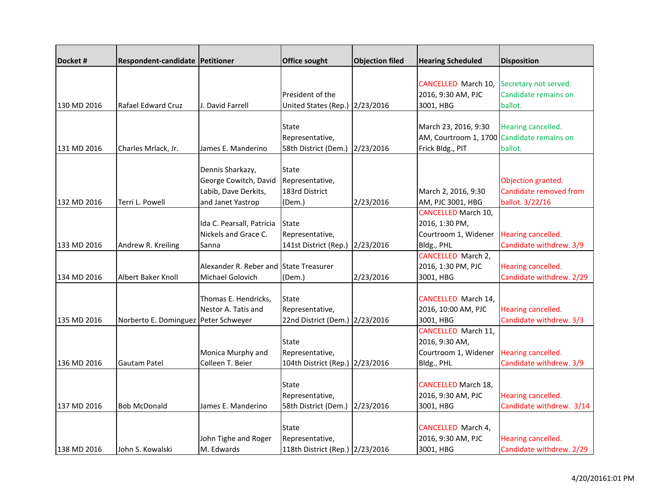| Docket #    | Respondent-candidate Petitioner      |                                        | <b>Office sought</b>            | <b>Objection filed</b> | <b>Hearing Scheduled</b>                   | <b>Disposition</b>       |
|-------------|--------------------------------------|----------------------------------------|---------------------------------|------------------------|--------------------------------------------|--------------------------|
|             |                                      |                                        |                                 |                        |                                            |                          |
|             |                                      |                                        |                                 |                        | <b>CANCELLED March 10,</b>                 | Secretary not served.    |
|             |                                      |                                        | President of the                |                        | 2016, 9:30 AM, PJC                         | Candidate remains on     |
| 130 MD 2016 | Rafael Edward Cruz                   | J. David Farrell                       | United States (Rep.) 2/23/2016  |                        | 3001, HBG                                  | ballot.                  |
|             |                                      |                                        |                                 |                        |                                            |                          |
|             |                                      |                                        | State                           |                        | March 23, 2016, 9:30                       | Hearing cancelled.       |
|             |                                      |                                        | Representative,                 |                        | AM, Courtroom 1, 1700 Candidate remains on |                          |
| 131 MD 2016 | Charles Mrlack, Jr.                  | James E. Manderino                     | 58th District (Dem.) 2/23/2016  |                        | Frick Bldg., PIT                           | ballot.                  |
|             |                                      |                                        |                                 |                        |                                            |                          |
|             |                                      | Dennis Sharkazy,                       | <b>State</b>                    |                        |                                            |                          |
|             |                                      | George Cowitch, David                  | Representative,                 |                        |                                            | Objection granted.       |
|             |                                      | Labib, Dave Derkits,                   | 183rd District                  |                        | March 2, 2016, 9:30                        | Candidate removed from   |
| 132 MD 2016 | Terri L. Powell                      | and Janet Yastrop                      | (Dem.)                          | 2/23/2016              | AM, PJC 3001, HBG                          | ballot. 3/22/16          |
|             |                                      |                                        |                                 |                        | <b>CANCELLED March 10,</b>                 |                          |
|             |                                      | Ida C. Pearsall, Patricia              | <b>State</b>                    |                        | 2016, 1:30 PM,                             |                          |
|             |                                      | Nickels and Grace C.                   | Representative,                 |                        | Courtroom 1, Widener                       | Hearing cancelled.       |
| 133 MD 2016 | Andrew R. Kreiling                   | Sanna                                  | 141st District (Rep.)           | 2/23/2016              | Bldg., PHL                                 | Candidate withdrew. 3/9  |
|             |                                      |                                        |                                 |                        | CANCELLED March 2,                         |                          |
|             |                                      | Alexander R. Reber and State Treasurer |                                 |                        | 2016, 1:30 PM, PJC                         | Hearing cancelled.       |
| 134 MD 2016 | Albert Baker Knoll                   | Michael Golovich                       | (Dem.)                          | 2/23/2016              | 3001, HBG                                  | Candidate withdrew. 2/29 |
|             |                                      |                                        |                                 |                        |                                            |                          |
|             |                                      | Thomas E. Hendricks,                   | <b>State</b>                    |                        | <b>CANCELLED March 14,</b>                 |                          |
|             |                                      | Nestor A. Tatis and                    | Representative,                 |                        | 2016, 10:00 AM, PJC                        | Hearing cancelled.       |
| 135 MD 2016 | Norberto E. Dominguez Peter Schweyer |                                        | 22nd District (Dem.) 2/23/2016  |                        | 3001, HBG                                  | Candidate withdrew. 3/3  |
|             |                                      |                                        |                                 |                        | CANCELLED March 11,                        |                          |
|             |                                      |                                        | <b>State</b>                    |                        | 2016, 9:30 AM,                             |                          |
|             |                                      | Monica Murphy and                      | Representative,                 |                        | Courtroom 1, Widener                       | Hearing cancelled.       |
| 136 MD 2016 | Gautam Patel                         | Colleen T. Beier                       | 104th District (Rep.) 2/23/2016 |                        | Bldg., PHL                                 | Candidate withdrew. 3/9  |
|             |                                      |                                        |                                 |                        |                                            |                          |
|             |                                      |                                        | <b>State</b>                    |                        | <b>CANCELLED March 18,</b>                 |                          |
|             |                                      |                                        | Representative,                 |                        | 2016, 9:30 AM, PJC                         | Hearing cancelled.       |
| 137 MD 2016 | <b>Bob McDonald</b>                  | James E. Manderino                     | 58th District (Dem.) 2/23/2016  |                        | 3001, HBG                                  | Candidate withdrew. 3/14 |
|             |                                      |                                        |                                 |                        |                                            |                          |
|             |                                      |                                        | <b>State</b>                    |                        | CANCELLED March 4,                         |                          |
|             |                                      | John Tighe and Roger                   | Representative,                 |                        | 2016, 9:30 AM, PJC                         | Hearing cancelled.       |
| 138 MD 2016 | John S. Kowalski                     | M. Edwards                             | 118th District (Rep.) 2/23/2016 |                        | 3001, HBG                                  | Candidate withdrew. 2/29 |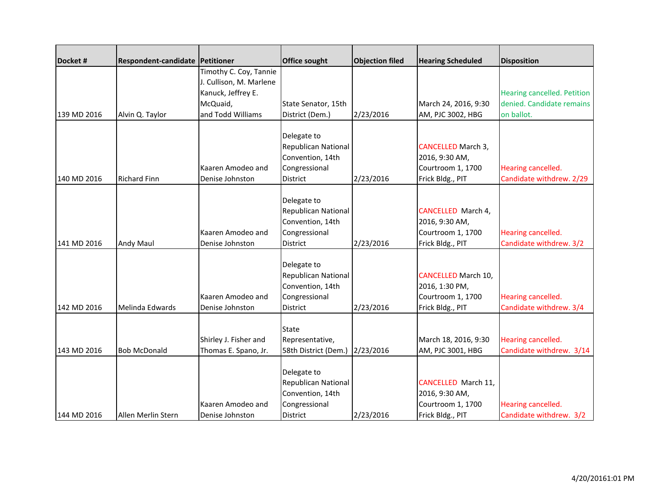| Docket#     | Respondent-candidate Petitioner |                         | Office sought                  | <b>Objection filed</b> | <b>Hearing Scheduled</b>   | <b>Disposition</b>          |
|-------------|---------------------------------|-------------------------|--------------------------------|------------------------|----------------------------|-----------------------------|
|             |                                 | Timothy C. Coy, Tannie  |                                |                        |                            |                             |
|             |                                 | J. Cullison, M. Marlene |                                |                        |                            |                             |
|             |                                 | Kanuck, Jeffrey E.      |                                |                        |                            | Hearing cancelled. Petition |
|             |                                 | McQuaid,                | State Senator, 15th            |                        | March 24, 2016, 9:30       | denied. Candidate remains   |
| 139 MD 2016 | Alvin Q. Taylor                 | and Todd Williams       | District (Dem.)                | 2/23/2016              | AM, PJC 3002, HBG          | on ballot.                  |
|             |                                 |                         |                                |                        |                            |                             |
|             |                                 |                         | Delegate to                    |                        |                            |                             |
|             |                                 |                         | Republican National            |                        | <b>CANCELLED March 3,</b>  |                             |
|             |                                 |                         | Convention, 14th               |                        | 2016, 9:30 AM,             |                             |
|             |                                 | Kaaren Amodeo and       | Congressional                  |                        | Courtroom 1, 1700          | Hearing cancelled.          |
| 140 MD 2016 | <b>Richard Finn</b>             | Denise Johnston         | <b>District</b>                | 2/23/2016              | Frick Bldg., PIT           | Candidate withdrew. 2/29    |
|             |                                 |                         | Delegate to                    |                        |                            |                             |
|             |                                 |                         | Republican National            |                        | CANCELLED March 4,         |                             |
|             |                                 |                         | Convention, 14th               |                        | 2016, 9:30 AM,             |                             |
|             |                                 | Kaaren Amodeo and       | Congressional                  |                        | Courtroom 1, 1700          | Hearing cancelled.          |
| 141 MD 2016 | <b>Andy Maul</b>                | Denise Johnston         | <b>District</b>                | 2/23/2016              | Frick Bldg., PIT           | Candidate withdrew. 3/2     |
|             |                                 |                         |                                |                        |                            |                             |
|             |                                 |                         | Delegate to                    |                        |                            |                             |
|             |                                 |                         | Republican National            |                        | <b>CANCELLED March 10,</b> |                             |
|             |                                 |                         | Convention, 14th               |                        | 2016, 1:30 PM,             |                             |
|             |                                 | Kaaren Amodeo and       | Congressional                  |                        | Courtroom 1, 1700          | Hearing cancelled.          |
| 142 MD 2016 | Melinda Edwards                 | Denise Johnston         | District                       | 2/23/2016              | Frick Bldg., PIT           | Candidate withdrew. 3/4     |
|             |                                 |                         |                                |                        |                            |                             |
|             |                                 |                         | <b>State</b>                   |                        |                            |                             |
|             |                                 | Shirley J. Fisher and   | Representative,                |                        | March 18, 2016, 9:30       | Hearing cancelled.          |
| 143 MD 2016 | <b>Bob McDonald</b>             | Thomas E. Spano, Jr.    | 58th District (Dem.) 2/23/2016 |                        | AM, PJC 3001, HBG          | Candidate withdrew. 3/14    |
|             |                                 |                         |                                |                        |                            |                             |
|             |                                 |                         | Delegate to                    |                        |                            |                             |
|             |                                 |                         | Republican National            |                        | <b>CANCELLED March 11,</b> |                             |
|             |                                 |                         | Convention, 14th               |                        | 2016, 9:30 AM,             |                             |
|             |                                 | Kaaren Amodeo and       | Congressional                  |                        | Courtroom 1, 1700          | Hearing cancelled.          |
| 144 MD 2016 | Allen Merlin Stern              | Denise Johnston         | District                       | 2/23/2016              | Frick Bldg., PIT           | Candidate withdrew. 3/2     |